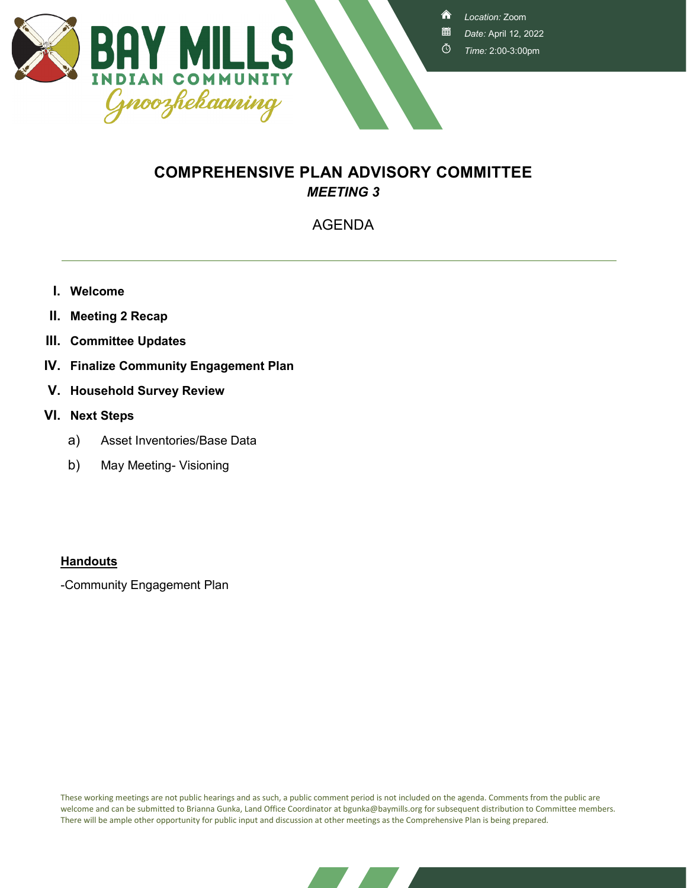

<mark>∧</mark>

- *Date:* April 12, 2022
- Ō *Time:* 2:00-3:00pm

## **COMPREHENSIVE PLAN ADVISORY COMMITTEE** *MEETING 3*

### AGENDA

- **I. Welcome**
- **II. Meeting 2 Recap**
- **III. Committee Updates**
- **IV. Finalize Community Engagement Plan**
- **V. Household Survey Review**
- **VI. Next Steps**
	- a) Asset Inventories/Base Data
	- b) May Meeting- Visioning

#### **Handouts**

-Community Engagement Plan

These working meetings are not public hearings and as such, a public comment period is not included on the agenda. Comments from the public are welcome and can be submitted to Brianna Gunka, Land Office Coordinator at bgunka@baymills.org for subsequent distribution to Committee members. There will be ample other opportunity for public input and discussion at other meetings as the Comprehensive Plan is being prepared.